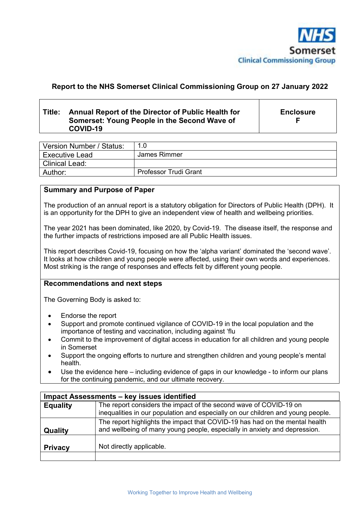

### **Report to the NHS Somerset Clinical Commissioning Group on 27 January 2022**

#### **Title: Annual Report of the Director of Public Health for Somerset: Young People in the Second Wave of COVID-19**

**Enclosure F** 

| Version Number / Status: | 1.0                          |
|--------------------------|------------------------------|
| <b>Executive Lead</b>    | James Rimmer                 |
| <b>Clinical Lead:</b>    |                              |
| Author:                  | <b>Professor Trudi Grant</b> |

#### **Summary and Purpose of Paper**

The production of an annual report is a statutory obligation for Directors of Public Health (DPH). It is an opportunity for the DPH to give an independent view of health and wellbeing priorities.

The year 2021 has been dominated, like 2020, by Covid-19. The disease itself, the response and the further impacts of restrictions imposed are all Public Health issues.

This report describes Covid-19, focusing on how the 'alpha variant' dominated the 'second wave'. It looks at how children and young people were affected, using their own words and experiences. Most striking is the range of responses and effects felt by different young people.

#### **Recommendations and next steps**

The Governing Body is asked to:

- Endorse the report
- Support and promote continued vigilance of COVID-19 in the local population and the importance of testing and vaccination, including against 'flu
- Commit to the improvement of digital access in education for all children and young people in Somerset
- Support the ongoing efforts to nurture and strengthen children and young people's mental health.
- Use the evidence here including evidence of gaps in our knowledge to inform our plans for the continuing pandemic, and our ultimate recovery.

| Impact Assessments - key issues identified |                                                                                                                                                          |  |  |
|--------------------------------------------|----------------------------------------------------------------------------------------------------------------------------------------------------------|--|--|
| <b>Equality</b>                            | The report considers the impact of the second wave of COVID-19 on<br>inequalities in our population and especially on our children and young people.     |  |  |
| Quality                                    | The report highlights the impact that COVID-19 has had on the mental health<br>and wellbeing of many young people, especially in anxiety and depression. |  |  |
| <b>Privacy</b>                             | Not directly applicable.                                                                                                                                 |  |  |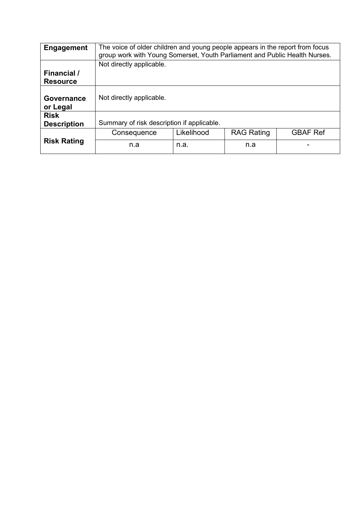| <b>Engagement</b>                 | The voice of older children and young people appears in the report from focus<br>group work with Young Somerset, Youth Parliament and Public Health Nurses. |            |                   |                 |
|-----------------------------------|-------------------------------------------------------------------------------------------------------------------------------------------------------------|------------|-------------------|-----------------|
|                                   | Not directly applicable.                                                                                                                                    |            |                   |                 |
| Financial /                       |                                                                                                                                                             |            |                   |                 |
| <b>Resource</b>                   |                                                                                                                                                             |            |                   |                 |
| <b>Governance</b><br>or Legal     | Not directly applicable.                                                                                                                                    |            |                   |                 |
| <b>Risk</b><br><b>Description</b> | Summary of risk description if applicable.                                                                                                                  |            |                   |                 |
| <b>Risk Rating</b>                | Consequence                                                                                                                                                 | Likelihood | <b>RAG Rating</b> | <b>GBAF Ref</b> |
|                                   | n.a                                                                                                                                                         | n.a.       | n.a               |                 |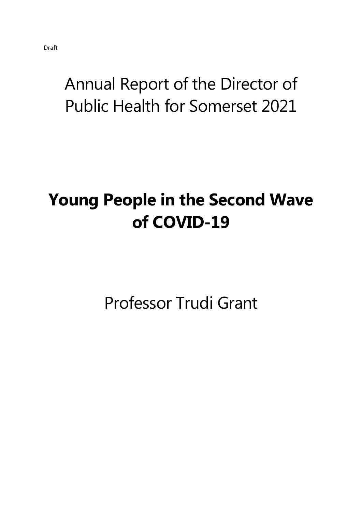# Annual Report of the Director of Public Health for Somerset 2021

# **Young People in the Second Wave of COVID-19**

Professor Trudi Grant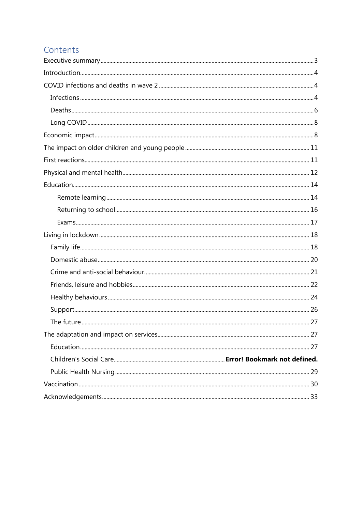## Contents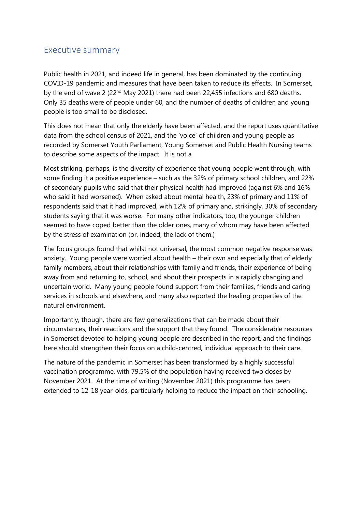### Executive summary

Public health in 2021, and indeed life in general, has been dominated by the continuing COVID-19 pandemic and measures that have been taken to reduce its effects. In Somerset, by the end of wave 2 ( $22<sup>nd</sup>$  May 2021) there had been 22,455 infections and 680 deaths. Only 35 deaths were of people under 60, and the number of deaths of children and young people is too small to be disclosed.

This does not mean that only the elderly have been affected, and the report uses quantitative data from the school census of 2021, and the 'voice' of children and young people as recorded by Somerset Youth Parliament, Young Somerset and Public Health Nursing teams to describe some aspects of the impact. It is not a

Most striking, perhaps, is the diversity of experience that young people went through, with some finding it a positive experience – such as the 32% of primary school children, and 22% of secondary pupils who said that their physical health had improved (against 6% and 16% who said it had worsened). When asked about mental health, 23% of primary and 11% of respondents said that it had improved, with 12% of primary and, strikingly, 30% of secondary students saying that it was worse. For many other indicators, too, the younger children seemed to have coped better than the older ones, many of whom may have been affected by the stress of examination (or, indeed, the lack of them.)

The focus groups found that whilst not universal, the most common negative response was anxiety. Young people were worried about health – their own and especially that of elderly family members, about their relationships with family and friends, their experience of being away from and returning to, school, and about their prospects in a rapidly changing and uncertain world. Many young people found support from their families, friends and caring services in schools and elsewhere, and many also reported the healing properties of the natural environment.

Importantly, though, there are few generalizations that can be made about their circumstances, their reactions and the support that they found. The considerable resources in Somerset devoted to helping young people are described in the report, and the findings here should strengthen their focus on a child-centred, individual approach to their care.

The nature of the pandemic in Somerset has been transformed by a highly successful vaccination programme, with 79.5% of the population having received two doses by November 2021. At the time of writing (November 2021) this programme has been extended to 12-18 year-olds, particularly helping to reduce the impact on their schooling.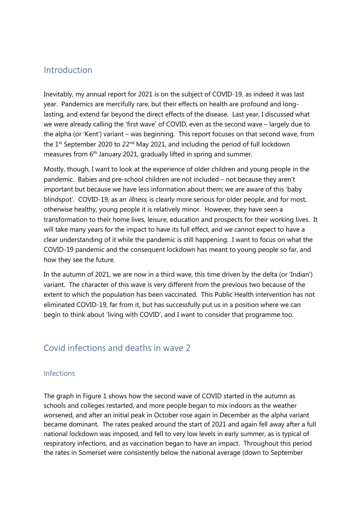### Introduction

Inevitably, my annual report for 2021 is on the subject of COVID-19, as indeed it was last year. Pandemics are mercifully rare, but their effects on health are profound and longlasting, and extend far beyond the direct effects of the disease. Last year, I discussed what we were already calling the 'first wave' of COVID, even as the second wave – largely due to the alpha (or 'Kent') variant – was beginning. This report focuses on that second wave, from the  $1^{st}$  September 2020 to 22<sup>nd</sup> May 2021, and including the period of full lockdown measures from 6<sup>th</sup> January 2021, gradually lifted in spring and summer.

Mostly, though, I want to look at the experience of older children and young people in the pandemic. Babies and pre-school children are not included – not because they aren't important but because we have less information about them; we are aware of this 'baby blindspot'. COVID-19, as an *illness*, is clearly more serious for older people, and for most, otherwise healthy, young people it is relatively minor. However, they have seen a transformation to their home lives, leisure, education and prospects for their working lives. It will take many years for the impact to have its full effect, and we cannot expect to have a clear understanding of it while the pandemic is still happening. I want to focus on what the COVID-19 pandemic and the consequent lockdown has meant to young people so far, and how they see the future.

In the autumn of 2021, we are now in a third wave, this time driven by the delta (or 'Indian') variant. The character of this wave is very different from the previous two because of the extent to which the population has been vaccinated. This Public Health intervention has not eliminated COVID-19, far from it, but has successfully put us in a position where we can begin to think about 'living with COVID', and I want to consider that programme too.

### Covid infections and deaths in wave 2

### Infections

The graph in Figure 1 shows how the second wave of COVID started in the autumn as schools and colleges restarted, and more people began to mix indoors as the weather worsened, and after an initial peak in October rose again in December as the alpha variant became dominant. The rates peaked around the start of 2021 and again fell away after a full national lockdown was imposed, and fell to very low levels in early summer, as is typical of respiratory infections, and as vaccination began to have an impact. Throughout this period the rates in Somerset were consistently below the national average (down to September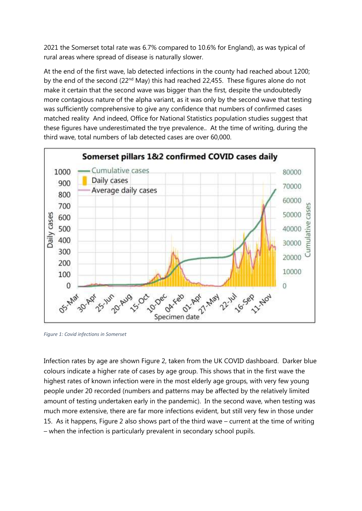2021 the Somerset total rate was 6.7% compared to 10.6% for England), as was typical of rural areas where spread of disease is naturally slower.

At the end of the first wave, lab detected infections in the county had reached about 1200; by the end of the second (22<sup>nd</sup> May) this had reached 22,455. These figures alone do not make it certain that the second wave was bigger than the first, despite the undoubtedly more contagious nature of the alpha variant, as it was only by the second wave that testing was sufficiently comprehensive to give any confidence that numbers of confirmed cases matched reality And indeed, Office for National Statistics population studies suggest that these figures have underestimated the trye prevalence.. At the time of writing, during the third wave, total numbers of lab detected cases are over 60,000.



*Figure 1: Covid infections in Somerset* 

Infection rates by age are shown Figure 2, taken from the UK COVID dashboard. Darker blue colours indicate a higher rate of cases by age group. This shows that in the first wave the highest rates of known infection were in the most elderly age groups, with very few young people under 20 recorded (numbers and patterns may be affected by the relatively limited amount of testing undertaken early in the pandemic). In the second wave, when testing was much more extensive, there are far more infections evident, but still very few in those under 15. As it happens, Figure 2 also shows part of the third wave – current at the time of writing – when the infection is particularly prevalent in secondary school pupils.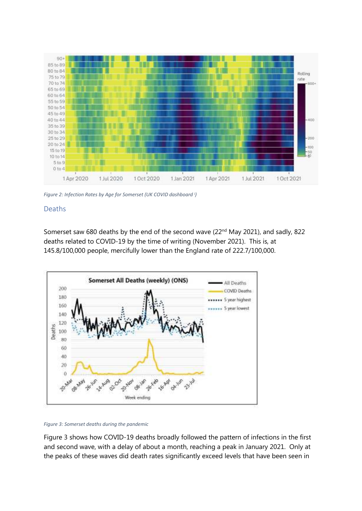

*Figure 2: Infection Rates by Age for Somerset (UK COVID dashboard <sup>i</sup> )*

### Deaths

Somerset saw 680 deaths by the end of the second wave (22<sup>nd</sup> May 2021), and sadly, 822 deaths related to COVID-19 by the time of writing (November 2021). This is, at 145.8/100,000 people, mercifully lower than the England rate of 222.7/100,000.



*Figure 3: Somerset deaths during the pandemic* 

Figure 3 shows how COVID-19 deaths broadly followed the pattern of infections in the first and second wave, with a delay of about a month, reaching a peak in January 2021. Only at the peaks of these waves did death rates significantly exceed levels that have been seen in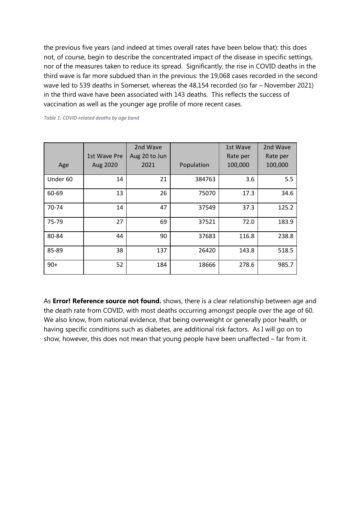the previous five years (and indeed at times overall rates have been below that): this does not, of course, begin to describe the concentrated impact of the disease in specific settings, nor of the measures taken to reduce its spread. Significantly, the rise in COVID deaths in the third wave is far more subdued than in the previous: the 19,068 cases recorded in the second wave led to 539 deaths in Somerset, whereas the 48,154 recorded (so far – November 2021) in the third wave have been associated with 143 deaths. This reflects the success of vaccination as well as the younger age profile of more recent cases.

*Table 1: COVID-related deaths by age band* 

|          | 1st Wave Pre | 2nd Wave<br>Aug 20 to Jun |            | 1st Wave<br>Rate per | 2nd Wave<br>Rate per |
|----------|--------------|---------------------------|------------|----------------------|----------------------|
| Age      | Aug 2020     | 2021                      | Population | 100,000              | 100,000              |
| Under 60 | 14           | 21                        | 384763     | 3.6                  | 5.5                  |
| 60-69    | 13           | 26                        | 75070      | 17.3                 | 34.6                 |
| 70-74    | 14           | 47                        | 37549      | 37.3                 | 125.2                |
| 75-79    | 27           | 69                        | 37521      | 72.0                 | 183.9                |
| 80-84    | 44           | 90                        | 37683      | 116.8                | 238.8                |
| 85-89    | 38           | 137                       | 26420      | 143.8                | 518.5                |
| $90+$    | 52           | 184                       | 18666      | 278.6                | 985.7                |

As **Error! Reference source not found.** shows, there is a clear relationship between age and the death rate from COVID, with most deaths occurring amongst people over the age of 60. We also know, from national evidence, that being overweight or generally poor health, or having specific conditions such as diabetes, are additional risk factors. As I will go on to show, however, this does not mean that young people have been unaffected – far from it.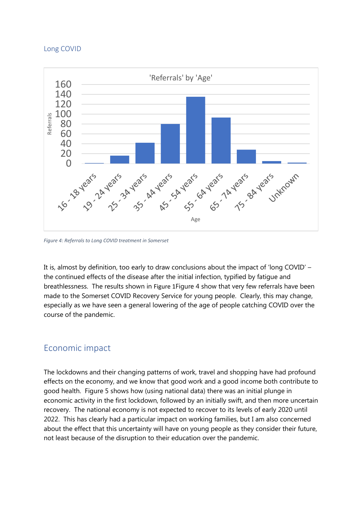#### Long COVID



*Figure 4: Referrals to Long COVID treatment in Somerset* 

It is, almost by definition, too early to draw conclusions about the impact of 'long COVID' – the continued effects of the disease after the initial infection, typified by fatigue and breathlessness. The results shown in Figure 1Figure 4 show that very few referrals have been made to the Somerset COVID Recovery Service for young people. Clearly, this may change, especially as we have seen a general lowering of the age of people catching COVID over the course of the pandemic.

### Economic impact

The lockdowns and their changing patterns of work, travel and shopping have had profound effects on the economy, and we know that good work and a good income both contribute to good health. Figure 5 shows how (using national data) there was an initial plunge in economic activity in the first lockdown, followed by an initially swift, and then more uncertain recovery. The national economy is not expected to recover to its levels of early 2020 until 2022. This has clearly had a particular impact on working families, but I am also concerned about the effect that this uncertainty will have on young people as they consider their future, not least because of the disruption to their education over the pandemic.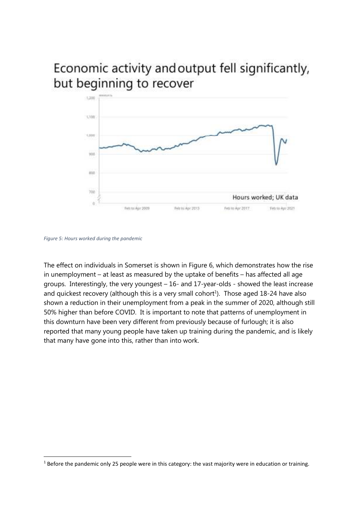# Economic activity and output fell significantly, but beginning to recover



*Figure 5: Hours worked during the pandemic* 

The effect on individuals in Somerset is shown in Figure 6, which demonstrates how the rise in unemployment – at least as measured by the uptake of benefits – has affected all age groups. Interestingly, the very youngest – 16- and 17-year-olds - showed the least increase and quickest recovery (although this is a very small cohort<sup>1</sup>). Those aged 18-24 have also shown a reduction in their unemployment from a peak in the summer of 2020, although still 50% higher than before COVID. It is important to note that patterns of unemployment in this downturn have been very different from previously because of furlough; it is also reported that many young people have taken up training during the pandemic, and is likely that many have gone into this, rather than into work.

 $1$  Before the pandemic only 25 people were in this category: the vast majority were in education or training.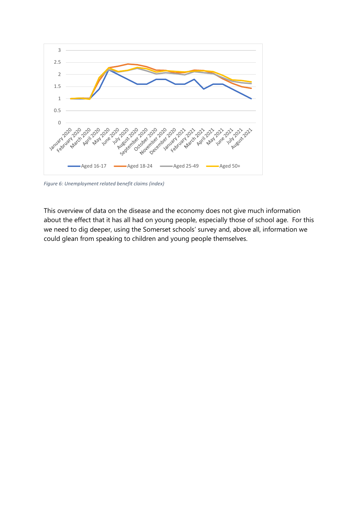

*Figure 6: Unemployment related benefit claims (index)* 

This overview of data on the disease and the economy does not give much information about the effect that it has all had on young people, especially those of school age. For this we need to dig deeper, using the Somerset schools' survey and, above all, information we could glean from speaking to children and young people themselves.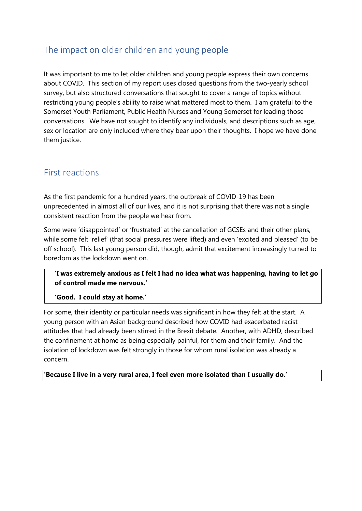# The impact on older children and young people

It was important to me to let older children and young people express their own concerns about COVID. This section of my report uses closed questions from the two-yearly school survey, but also structured conversations that sought to cover a range of topics without restricting young people's ability to raise what mattered most to them. I am grateful to the Somerset Youth Parliament, Public Health Nurses and Young Somerset for leading those conversations. We have not sought to identify any individuals, and descriptions such as age, sex or location are only included where they bear upon their thoughts. I hope we have done them justice.

### First reactions

As the first pandemic for a hundred years, the outbreak of COVID-19 has been unprecedented in almost all of our lives, and it is not surprising that there was not a single consistent reaction from the people we hear from.

Some were 'disappointed' or 'frustrated' at the cancellation of GCSEs and their other plans, while some felt 'relief' (that social pressures were lifted) and even 'excited and pleased' (to be off school). This last young person did, though, admit that excitement increasingly turned to boredom as the lockdown went on.

**'I was extremely anxious as I felt I had no idea what was happening, having to let go of control made me nervous.'**

**'Good. I could stay at home.'**

For some, their identity or particular needs was significant in how they felt at the start. A young person with an Asian background described how COVID had exacerbated racist attitudes that had already been stirred in the Brexit debate. Another, with ADHD, described the confinement at home as being especially painful, for them and their family. And the isolation of lockdown was felt strongly in those for whom rural isolation was already a concern.

**'Because I live in a very rural area, I feel even more isolated than I usually do.'**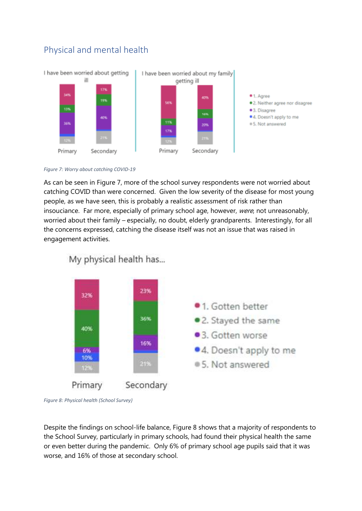

# Physical and mental health

*Figure 7: Worry about catching COVID-19*

As can be seen in Figure 7, more of the school survey respondents were not worried about catching COVID than were concerned. Given the low severity of the disease for most young people, as we have seen, this is probably a realistic assessment of risk rather than insouciance. Far more, especially of primary school age, however, were, not unreasonably, worried about their family – especially, no doubt, elderly grandparents. Interestingly, for all the concerns expressed, catching the disease itself was not an issue that was raised in engagement activities.



My physical health has...

*Figure 8: Physical health (School Survey)* 

Despite the findings on school-life balance, Figure 8 shows that a majority of respondents to the School Survey, particularly in primary schools, had found their physical health the same or even better during the pandemic. Only 6% of primary school age pupils said that it was worse, and 16% of those at secondary school.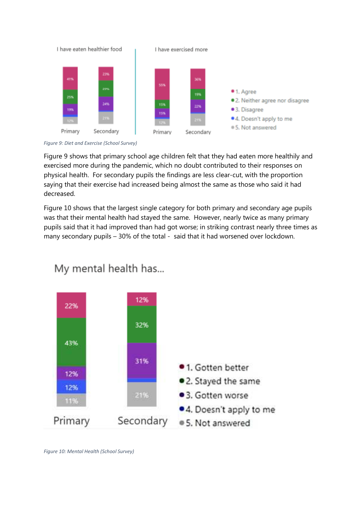

*Figure 9: Diet and Exercise (School Survey)*

Figure 9 shows that primary school age children felt that they had eaten more healthily and exercised more during the pandemic, which no doubt contributed to their responses on physical health. For secondary pupils the findings are less clear-cut, with the proportion saying that their exercise had increased being almost the same as those who said it had decreased.

Figure 10 shows that the largest single category for both primary and secondary age pupils was that their mental health had stayed the same. However, nearly twice as many primary pupils said that it had improved than had got worse; in striking contrast nearly three times as many secondary pupils – 30% of the total - said that it had worsened over lockdown.



My mental health has...

*Figure 10: Mental Health (School Survey)*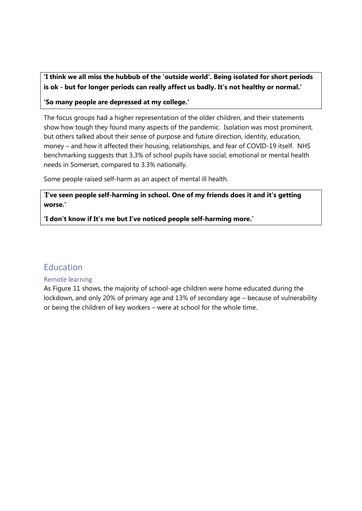**'I think we all miss the hubbub of the 'outside world'. Being isolated for short periods is ok - but for longer periods can really affect us badly. It's not healthy or normal.'** 

**'So many people are depressed at my college.'** 

The focus groups had a higher representation of the older children, and their statements show how tough they found many aspects of the pandemic. Isolation was most prominent, but others talked about their sense of purpose and future direction, identity, education, money – and how it affected their housing, relationships, and fear of COVID-19 itself. NHS benchmarking suggests that 3.3% of school pupils have social, emotional or mental health needs in Somerset, compared to 3.3% nationally.

Some people raised self-harm as an aspect of mental ill health.

'**I've seen people self-harming in school. One of my friends does it and it's getting worse.'**

**'I don't know if It's me but I've noticed people self-harming more.'** 

### Education

### Remote learning

As Figure 11 shows, the majority of school-age children were home educated during the lockdown, and only 20% of primary age and 13% of secondary age – because of vulnerability or being the children of key workers – were at school for the whole time.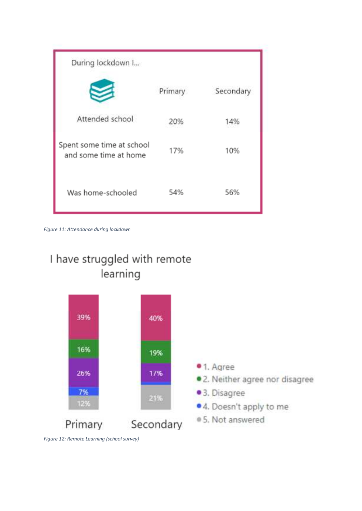| During lockdown I                                  |         |           |
|----------------------------------------------------|---------|-----------|
|                                                    | Primary | Secondary |
| Attended school                                    | 20%     | 14%       |
| Spent some time at school<br>and some time at home | 17%     | 10%       |
| Was home-schooled                                  | 54%     | 56%       |

*Figure 11: Attendance during lockdown*





*Figure 12: Remote Learning (school survey)*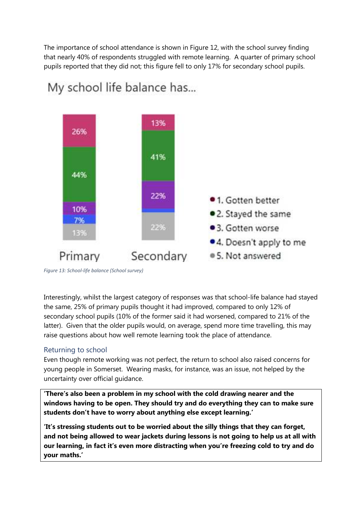The importance of school attendance is shown in Figure 12, with the school survey finding that nearly 40% of respondents struggled with remote learning. A quarter of primary school pupils reported that they did not; this figure fell to only 17% for secondary school pupils.



# My school life balance has...

*Figure 13: School-life balance (School survey)* 

Interestingly, whilst the largest category of responses was that school-life balance had stayed the same, 25% of primary pupils thought it had improved, compared to only 12% of secondary school pupils (10% of the former said it had worsened, compared to 21% of the latter). Given that the older pupils would, on average, spend more time travelling, this may raise questions about how well remote learning took the place of attendance.

### Returning to school

Even though remote working was not perfect, the return to school also raised concerns for young people in Somerset. Wearing masks, for instance, was an issue, not helped by the uncertainty over official guidance.

**'There's also been a problem in my school with the cold drawing nearer and the windows having to be open. They should try and do everything they can to make sure students don't have to worry about anything else except learning.'** 

**'It's stressing students out to be worried about the silly things that they can forget, and not being allowed to wear jackets during lessons is not going to help us at all with our learning, in fact it's even more distracting when you're freezing cold to try and do your maths.'**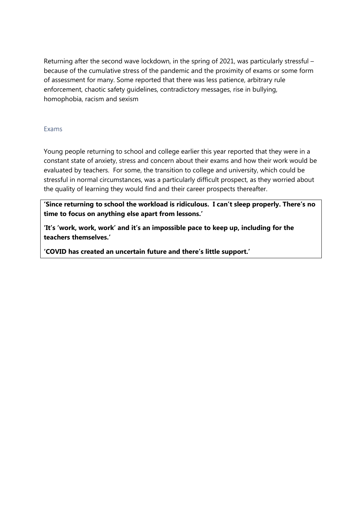Returning after the second wave lockdown, in the spring of 2021, was particularly stressful – because of the cumulative stress of the pandemic and the proximity of exams or some form of assessment for many. Some reported that there was less patience, arbitrary rule enforcement, chaotic safety guidelines, contradictory messages, rise in bullying, homophobia, racism and sexism

### Exams

Young people returning to school and college earlier this year reported that they were in a constant state of anxiety, stress and concern about their exams and how their work would be evaluated by teachers. For some, the transition to college and university, which could be stressful in normal circumstances, was a particularly difficult prospect, as they worried about the quality of learning they would find and their career prospects thereafter.

**'Since returning to school the workload is ridiculous. I can't sleep properly. There's no time to focus on anything else apart from lessons.'**

**'It's 'work, work, work' and it's an impossible pace to keep up, including for the teachers themselves.'** 

**'COVID has created an uncertain future and there's little support.'**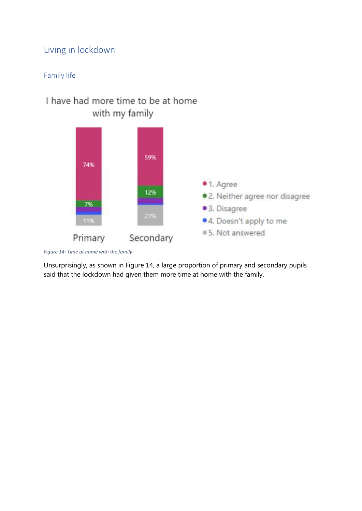# Living in lockdown

### Family life

# I have had more time to be at home with my family



*Figure 14: Time at home with the family* 

Unsurprisingly, as shown in Figure 14, a large proportion of primary and secondary pupils said that the lockdown had given them more time at home with the family.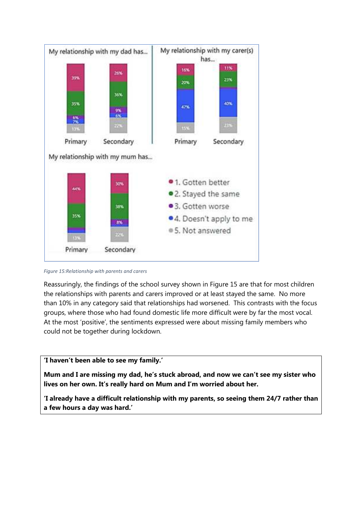

*Figure 15:Relationship with parents and carers* 

Reassuringly, the findings of the school survey shown in Figure 15 are that for most children the relationships with parents and carers improved or at least stayed the same. No more than 10% in any category said that relationships had worsened. This contrasts with the focus groups, where those who had found domestic life more difficult were by far the most vocal. At the most 'positive', the sentiments expressed were about missing family members who could not be together during lockdown.

#### **'I haven't been able to see my family.'**

**Mum and I are missing my dad, he's stuck abroad, and now we can't see my sister who lives on her own. It's really hard on Mum and I'm worried about her.** 

**'I already have a difficult relationship with my parents, so seeing them 24/7 rather than a few hours a day was hard.'**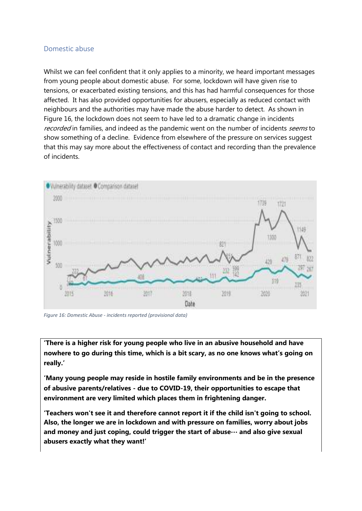### Domestic abuse

Whilst we can feel confident that it only applies to a minority, we heard important messages from young people about domestic abuse. For some, lockdown will have given rise to tensions, or exacerbated existing tensions, and this has had harmful consequences for those affected. It has also provided opportunities for abusers, especially as reduced contact with neighbours and the authorities may have made the abuse harder to detect. As shown in Figure 16, the lockdown does not seem to have led to a dramatic change in incidents recorded in families, and indeed as the pandemic went on the number of incidents seems to show something of a decline. Evidence from elsewhere of the pressure on services suggest that this may say more about the effectiveness of contact and recording than the prevalence of incidents.



*Figure 16: Domestic Abuse - incidents reported (provisional data)* 

**'There is a higher risk for young people who live in an abusive household and have nowhere to go during this time, which is a bit scary, as no one knows what's going on really.'** 

**'Many young people may reside in hostile family environments and be in the presence of abusive parents/relatives - due to COVID-19, their opportunities to escape that environment are very limited which places them in frightening danger.** 

**'Teachers won't see it and therefore cannot report it if the child isn't going to school. Also, the longer we are in lockdown and with pressure on families, worry about jobs and money and just coping, could trigger the start of abuse… and also give sexual abusers exactly what they want!'**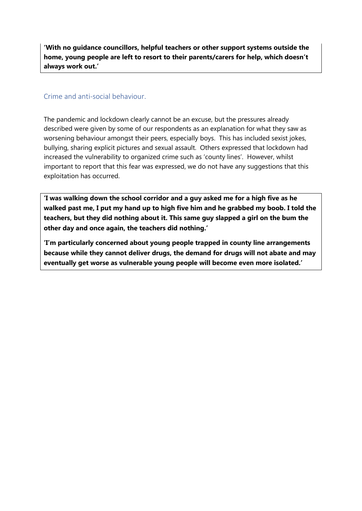**'With no guidance councillors, helpful teachers or other support systems outside the home, young people are left to resort to their parents/carers for help, which doesn't always work out.'** 

### Crime and anti-social behaviour.

The pandemic and lockdown clearly cannot be an excuse, but the pressures already described were given by some of our respondents as an explanation for what they saw as worsening behaviour amongst their peers, especially boys. This has included sexist jokes, bullying, sharing explicit pictures and sexual assault. Others expressed that lockdown had increased the vulnerability to organized crime such as 'county lines'. However, whilst important to report that this fear was expressed, we do not have any suggestions that this exploitation has occurred.

**'I was walking down the school corridor and a guy asked me for a high five as he walked past me, I put my hand up to high five him and he grabbed my boob. I told the teachers, but they did nothing about it. This same guy slapped a girl on the bum the other day and once again, the teachers did nothing.'** 

**'I'm particularly concerned about young people trapped in county line arrangements because while they cannot deliver drugs, the demand for drugs will not abate and may eventually get worse as vulnerable young people will become even more isolated.'**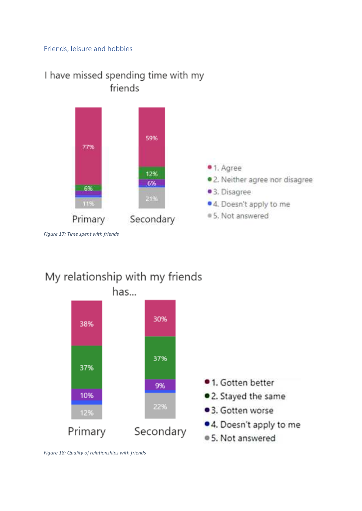### Friends, leisure and hobbies



# I have missed spending time with my friends

*Figure 17: Time spent with friends* 

# My relationship with my friends has...



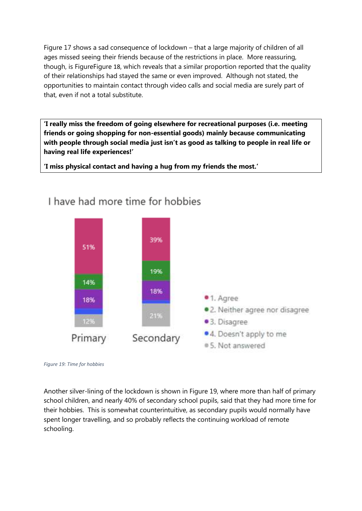Figure 17 shows a sad consequence of lockdown – that a large majority of children of all ages missed seeing their friends because of the restrictions in place. More reassuring, though, is FigureFigure 18, which reveals that a similar proportion reported that the quality of their relationships had stayed the same or even improved. Although not stated, the opportunities to maintain contact through video calls and social media are surely part of that, even if not a total substitute.

**'I really miss the freedom of going elsewhere for recreational purposes (i.e. meeting friends or going shopping for non-essential goods) mainly because communicating with people through social media just isn't as good as talking to people in real life or having real life experiences!'** 

**'I miss physical contact and having a hug from my friends the most.'** 



# I have had more time for hobbies

*Figure 19: Time for hobbies*

Another silver-lining of the lockdown is shown in Figure 19, where more than half of primary school children, and nearly 40% of secondary school pupils, said that they had more time for their hobbies. This is somewhat counterintuitive, as secondary pupils would normally have spent longer travelling, and so probably reflects the continuing workload of remote schooling.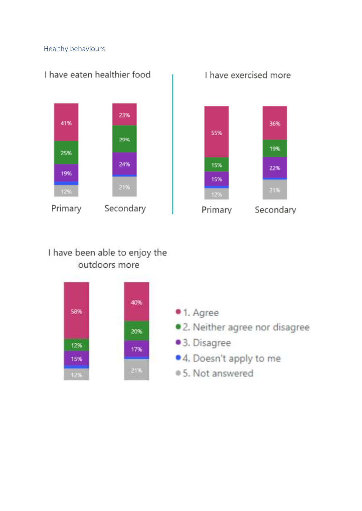### Healthy behaviours



# I have exercised more



# I have been able to enjoy the outdoors more

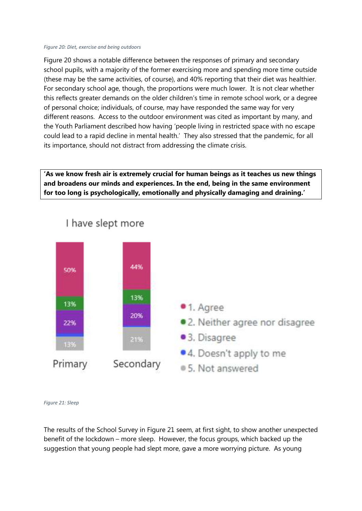#### *Figure 20: Diet, exercise and being outdoors*

Figure 20 shows a notable difference between the responses of primary and secondary school pupils, with a majority of the former exercising more and spending more time outside (these may be the same activities, of course), and 40% reporting that their diet was healthier. For secondary school age, though, the proportions were much lower. It is not clear whether this reflects greater demands on the older children's time in remote school work, or a degree of personal choice; individuals, of course, may have responded the same way for very different reasons. Access to the outdoor environment was cited as important by many, and the Youth Parliament described how having 'people living in restricted space with no escape could lead to a rapid decline in mental health.' They also stressed that the pandemic, for all its importance, should not distract from addressing the climate crisis.

**'As we know fresh air is extremely crucial for human beings as it teaches us new things and broadens our minds and experiences. In the end, being in the same environment for too long is psychologically, emotionally and physically damaging and draining.'** 



# I have slept more

*Figure 21: Sleep* 

The results of the School Survey in Figure 21 seem, at first sight, to show another unexpected benefit of the lockdown – more sleep. However, the focus groups, which backed up the suggestion that young people had slept more, gave a more worrying picture. As young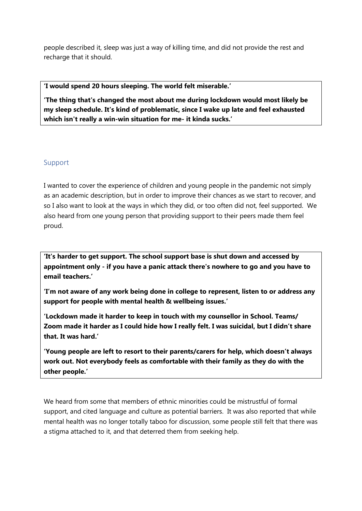people described it, sleep was just a way of killing time, and did not provide the rest and recharge that it should.

### **'I would spend 20 hours sleeping. The world felt miserable.'**

**'The thing that's changed the most about me during lockdown would most likely be my sleep schedule. It's kind of problematic, since I wake up late and feel exhausted which isn't really a win-win situation for me- it kinda sucks.'** 

#### Support

I wanted to cover the experience of children and young people in the pandemic not simply as an academic description, but in order to improve their chances as we start to recover, and so I also want to look at the ways in which they did, or too often did not, feel supported. We also heard from one young person that providing support to their peers made them feel proud.

**'It's harder to get support. The school support base is shut down and accessed by appointment only - if you have a panic attack there's nowhere to go and you have to email teachers.'** 

**'I'm not aware of any work being done in college to represent, listen to or address any support for people with mental health & wellbeing issues.'** 

**'Lockdown made it harder to keep in touch with my counsellor in School. Teams/ Zoom made it harder as I could hide how I really felt. I was suicidal, but I didn't share that. It was hard.'** 

**'Young people are left to resort to their parents/carers for help, which doesn't always work out. Not everybody feels as comfortable with their family as they do with the other people.'** 

We heard from some that members of ethnic minorities could be mistrustful of formal support, and cited language and culture as potential barriers. It was also reported that while mental health was no longer totally taboo for discussion, some people still felt that there was a stigma attached to it, and that deterred them from seeking help.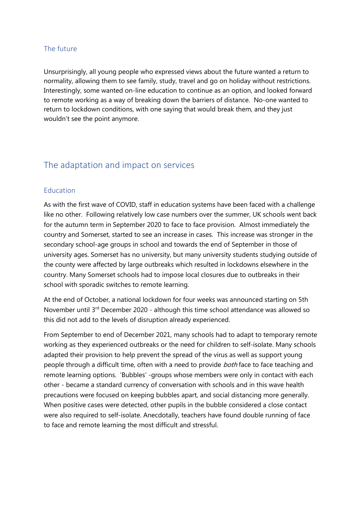### The future

Unsurprisingly, all young people who expressed views about the future wanted a return to normality, allowing them to see family, study, travel and go on holiday without restrictions. Interestingly, some wanted on-line education to continue as an option, and looked forward to remote working as a way of breaking down the barriers of distance. No-one wanted to return to lockdown conditions, with one saying that would break them, and they just wouldn't see the point anymore.

### The adaptation and impact on services

### Education

As with the first wave of COVID, staff in education systems have been faced with a challenge like no other. Following relatively low case numbers over the summer, UK schools went back for the autumn term in September 2020 to face to face provision. Almost immediately the country and Somerset, started to see an increase in cases. This increase was stronger in the secondary school-age groups in school and towards the end of September in those of university ages. Somerset has no university, but many university students studying outside of the county were affected by large outbreaks which resulted in lockdowns elsewhere in the country. Many Somerset schools had to impose local closures due to outbreaks in their school with sporadic switches to remote learning.

At the end of October, a national lockdown for four weeks was announced starting on 5th November until 3rd December 2020 - although this time school attendance was allowed so this did not add to the levels of disruption already experienced.

From September to end of December 2021, many schools had to adapt to temporary remote working as they experienced outbreaks or the need for children to self-isolate. Many schools adapted their provision to help prevent the spread of the virus as well as support young people through a difficult time, often with a need to provide both face to face teaching and remote learning options. 'Bubbles' -groups whose members were only in contact with each other - became a standard currency of conversation with schools and in this wave health precautions were focused on keeping bubbles apart, and social distancing more generally. When positive cases were detected, other pupils in the bubble considered a close contact were also required to self-isolate. Anecdotally, teachers have found double running of face to face and remote learning the most difficult and stressful.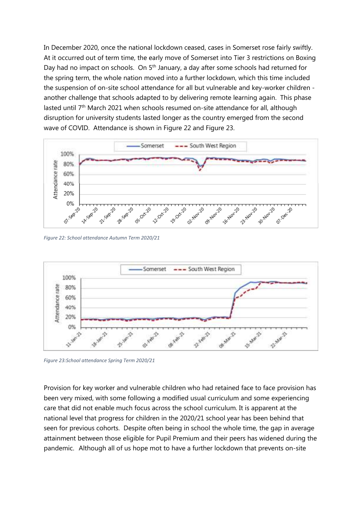In December 2020, once the national lockdown ceased, cases in Somerset rose fairly swiftly. At it occurred out of term time, the early move of Somerset into Tier 3 restrictions on Boxing Day had no impact on schools. On 5<sup>th</sup> January, a day after some schools had returned for the spring term, the whole nation moved into a further lockdown, which this time included the suspension of on-site school attendance for all but vulnerable and key-worker children another challenge that schools adapted to by delivering remote learning again. This phase lasted until 7<sup>th</sup> March 2021 when schools resumed on-site attendance for all, although disruption for university students lasted longer as the country emerged from the second wave of COVID. Attendance is shown in Figure 22 and Figure 23.



*Figure 22: School attendance Autumn Term 2020/21*



*Figure 23:School attendance Spring Term 2020/21* 

Provision for key worker and vulnerable children who had retained face to face provision has been very mixed, with some following a modified usual curriculum and some experiencing care that did not enable much focus across the school curriculum. It is apparent at the national level that progress for children in the 2020/21 school year has been behind that seen for previous cohorts. Despite often being in school the whole time, the gap in average attainment between those eligible for Pupil Premium and their peers has widened during the pandemic. Although all of us hope mot to have a further lockdown that prevents on-site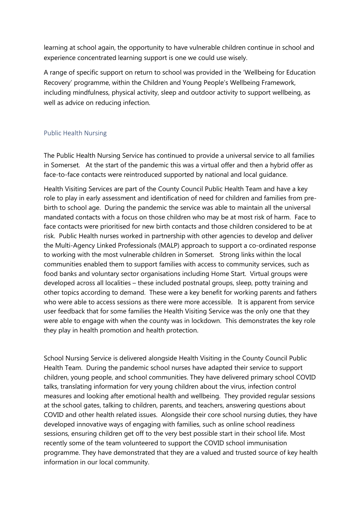learning at school again, the opportunity to have vulnerable children continue in school and experience concentrated learning support is one we could use wisely.

A range of specific support on return to school was provided in the 'Wellbeing for Education Recovery' programme, within the Children and Young People's Wellbeing Framework, including mindfulness, physical activity, sleep and outdoor activity to support wellbeing, as well as advice on reducing infection.

### Public Health Nursing

The Public Health Nursing Service has continued to provide a universal service to all families in Somerset. At the start of the pandemic this was a virtual offer and then a hybrid offer as face-to-face contacts were reintroduced supported by national and local guidance.

Health Visiting Services are part of the County Council Public Health Team and have a key role to play in early assessment and identification of need for children and families from prebirth to school age. During the pandemic the service was able to maintain all the universal mandated contacts with a focus on those children who may be at most risk of harm. Face to face contacts were prioritised for new birth contacts and those children considered to be at risk. Public Health nurses worked in partnership with other agencies to develop and deliver the Multi-Agency Linked Professionals (MALP) approach to support a co-ordinated response to working with the most vulnerable children in Somerset. Strong links within the local communities enabled them to support families with access to community services, such as food banks and voluntary sector organisations including Home Start. Virtual groups were developed across all localities – these included postnatal groups, sleep, potty training and other topics according to demand. These were a key benefit for working parents and fathers who were able to access sessions as there were more accessible. It is apparent from service user feedback that for some families the Health Visiting Service was the only one that they were able to engage with when the county was in lockdown. This demonstrates the key role they play in health promotion and health protection.

School Nursing Service is delivered alongside Health Visiting in the County Council Public Health Team. During the pandemic school nurses have adapted their service to support children, young people, and school communities. They have delivered primary school COVID talks, translating information for very young children about the virus, infection control measures and looking after emotional health and wellbeing. They provided regular sessions at the school gates, talking to children, parents, and teachers, answering questions about COVID and other health related issues. Alongside their core school nursing duties, they have developed innovative ways of engaging with families, such as online school readiness sessions, ensuring children get off to the very best possible start in their school life. Most recently some of the team volunteered to support the COVID school immunisation programme. They have demonstrated that they are a valued and trusted source of key health information in our local community.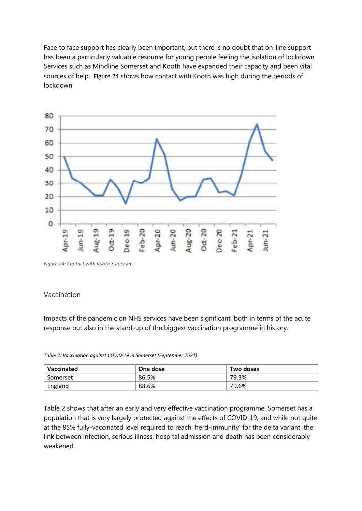Face to face support has clearly been important, but there is no doubt that on-line support has been a particularly valuable resource for young people feeling the isolation of lockdown. Services such as Mindline Somerset and Kooth have expanded their capacity and been vital sources of help. Figure 24 shows how contact with Kooth was high during the periods of lockdown.



*Figure 24: Contact with Kooth Somerset*

### Vaccination

Impacts of the pandemic on NHS services have been significant, both in terms of the acute response but also in the stand-up of the biggest vaccination programme in history.

| Vaccinated | One dose | Two doses |  |
|------------|----------|-----------|--|
| Somerset   | 86.5%    | 79.3%     |  |
| England    | 88.6%    | 79.6%     |  |

*Table 2: Vaccination against COVID-19 in Somerset (September 2021)* 

Table 2 shows that after an early and very effective vaccination programme, Somerset has a population that is very largely protected against the effects of COVID-19, and while not quite at the 85% fully-vaccinated level required to reach 'herd-immunity' for the delta variant, the link between infection, serious illness, hospital admission and death has been considerably weakened.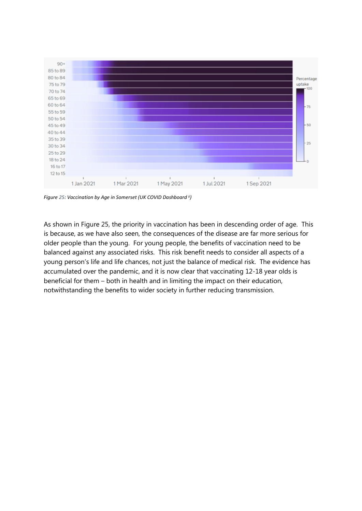

*Figure 25: Vaccination by Age in Somerset (UK COVID Dashboard ii)* 

As shown in Figure 25, the priority in vaccination has been in descending order of age. This is because, as we have also seen, the consequences of the disease are far more serious for older people than the young. For young people, the benefits of vaccination need to be balanced against any associated risks. This risk benefit needs to consider all aspects of a young person's life and life chances, not just the balance of medical risk. The evidence has accumulated over the pandemic, and it is now clear that vaccinating 12-18 year olds is beneficial for them – both in health and in limiting the impact on their education, notwithstanding the benefits to wider society in further reducing transmission.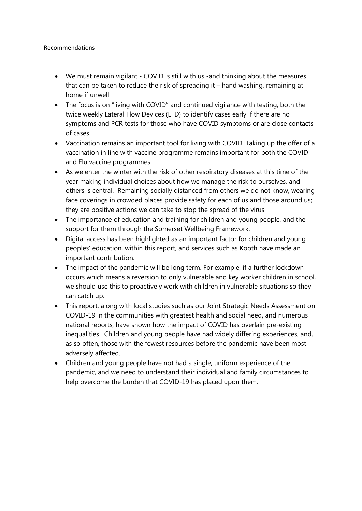#### Recommendations

- We must remain vigilant COVID is still with us -and thinking about the measures that can be taken to reduce the risk of spreading it – hand washing, remaining at home if unwell
- The focus is on "living with COVID" and continued vigilance with testing, both the twice weekly Lateral Flow Devices (LFD) to identify cases early if there are no symptoms and PCR tests for those who have COVID symptoms or are close contacts of cases
- Vaccination remains an important tool for living with COVID. Taking up the offer of a vaccination in line with vaccine programme remains important for both the COVID and Flu vaccine programmes
- As we enter the winter with the risk of other respiratory diseases at this time of the year making individual choices about how we manage the risk to ourselves, and others is central. Remaining socially distanced from others we do not know, wearing face coverings in crowded places provide safety for each of us and those around us; they are positive actions we can take to stop the spread of the virus
- The importance of education and training for children and young people, and the support for them through the Somerset Wellbeing Framework.
- Digital access has been highlighted as an important factor for children and young peoples' education, within this report, and services such as Kooth have made an important contribution.
- The impact of the pandemic will be long term. For example, if a further lockdown occurs which means a reversion to only vulnerable and key worker children in school, we should use this to proactively work with children in vulnerable situations so they can catch up.
- This report, along with local studies such as our Joint Strategic Needs Assessment on COVID-19 in the communities with greatest health and social need, and numerous national reports, have shown how the impact of COVID has overlain pre-existing inequalities. Children and young people have had widely differing experiences, and, as so often, those with the fewest resources before the pandemic have been most adversely affected.
- Children and young people have not had a single, uniform experience of the pandemic, and we need to understand their individual and family circumstances to help overcome the burden that COVID-19 has placed upon them.